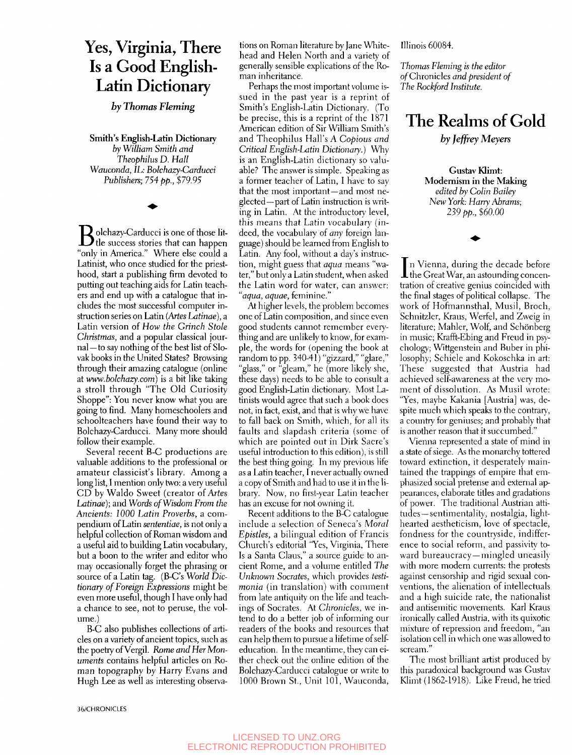## Yes, Virginia, There Is a Good English-Latin Dictionary

*by Thomas Fleming* 

**Smith's English-Latin Dictionary**  *by William Smith and Theophilus D. Hall Wauconda, IL: Bolchazy-Carducci Publishers; 754 pp., \$79.95* 

 $\mathbf{B}$  olchazy-Carducci is one of those lit-<br>" "only in America." Where else could a Latinist, who once studied for the priesthood, start a publishing firm devoted to putting out teaching aids for Latin teachers and end up with a catalogue that includes the most successful computer instruction series on Latin *{Artes Latinae),* a Latin version of *How the Grinch Stole Christmas,* and a popular classical journal—to say nothing of the best list of Slovak books in the United States? Browsing through their amazing catalogue (online at *www.bolchazy.com)* is a bit like taking a stroll through "The Old Curiosity Shoppe": You never know what you are going to find. Many homeschoolers and schoolteachers have found their way to Bolchazy-Carducci. Many more should follow their example.

Several recent B-C productions are valuable additions to the professional or amateur classicist's library. Among a long list, I mention only two: a very useful CD by Waldo Sweet (creator *oi Artes Latinae);* and *Words of Wisdom From the Ancients: 1000 Latin Proverbs,* a compendium of Latin *sententiae,* is not only a helpful collection of Roman wisdom and a useful aid to building Latin vocabulary, but a boon to the writer and editor who may occasionally forget the phrasing or source of a Latin tag. (B-C's *World Dictionary of Foreign Expressions* might be even more useful, though 1 have only had a chance to see, not to peruse, the volume.)

B-C also publishes collections of articles on a variety of ancient topics, such as the poetry of Vergil. *Rome and Her Monuments* contains helpful articles on Roman topography by Harry Evans and Hugh Lee as well as interesting observations on Roman literature by Jane Whitehead and Helen North and a variety of generally sensible explications of the Roman inheritance.

Perhaps the most important volume issued in the past year is a reprint of Smith's English-Latin Dictionary. (To be precise, this is a reprint of the 1871 American edition of Sir William Smith's and Theophilus Hall's A *Copious and Critical English-Latin Dictionary.)* Why is an English-Latin dictionary so valuable? The answer is simple. Speaking as a former teacher of Latin, I have to say that the most important—and most neglected—part of Latin instruction is writing in Latin. At the introductory level, this means that Latin vocabulary (indeed, the vocabulary of *any* foreign language) should be learned from English to Latin. Any fool, without a day's instruction, might guess that *aqua* means "water," but only a Latin student, when asked the Latin word for water, can answer: *"aqua, aquae,* feminine."

At higher levels, the problem becomes one of Latin composition, and since even good students cannot remember everything and are unlikely to know, for example, the words for (opening the book at random to pp. 340-41) "gizzard," "glare," "glass," or "gleam," he (more likely she, these days) needs to be able to consult a good English-Latin dictionary. Most Latinists would agree that such a book does not, in fact, exist, and that is why we have to fall back on Smith, which, for all its faults and slapdash criteria (some of which are pointed out in Dirk Sacre's useful introduction to this edition), is still the best thing going. In my previous life as a Latin teacher, I never actually owned a copy of Smith and had to use it in the library. Now, no first-year Latin teacher has an excuse for not owning it.

Recent additions to the B-C catalogue include a selection of Seneca's *Moral Epistles*, a bilingual edition of Francis Church's editorial "Yes, Virginia, There Is a Santa Claus," a source guide to ancient Rome, and a volume entitled *The Unknown Socrates,* which provides *testimonia* (in translation) with comment from late antiquity on the life and teachings of Socrates. At *Chronicles,* we intend to do a better job of informing our readers of the books and resources that can help them to pursue a lifetime of selfeducation. In the meantime, they can either check out the online edition of the Bolchazy-Carducci catalogue or write to 1000 Brown St., Unit 101, Wauconda,

Illinois 60084.

*Thomas Fleming is the editor*  of Chronicles *and president of The Rockford Institute.* 

## The Realms of Gold

*by Jeffrey Meyers* 

Gustav **Klimt: Modernism in the Making**  *edited by Colin Bailey New York: Harry Abrams; 239 pp., \$60.00* 

In Vienna, during the decade before<br>the Great War, an astounding concenn Vienna, during the decade before tration of creative genius coincided with the final stages of political collapse. The work of Hofmannsthal, Musil, Broch, Schnitzler, Kraus, Werfel, and Zweig in literature; Mahler, Wolf, and Schönberg in music; Krafft-Ebing and Freud in psychology; Wittgenstein and Buber in philosophy; Schiele and Kokoschka in art: These suggested that Austria had achieved self-awareness at the very moment of dissolution. As Musil wrote: "Yes, maybe Kakania [Austria] was, despite much which speaks to the contrary, a country for geniuses; and probably that is another reason that it succumbed."

Vienna represented a state of mind in a state of siege. As the monarchy tottered toward extinction, it desperately maintained the trappings of empire that emphasized social pretense and external appearances, elaborate tides and gradations of power. The traditional Austrian attitudes—sentimentality, nostalgia, lighthearted aestheticism, love of spectacle, fondness for the countryside, indifference to social reform, and passivity toward bureaucracy—mingled uneasily with more modern currents: the protests against censorship and rigid sexual conventions, the alienation of intellectuals and a high suicide rate, the nationalist and antisemitic movements. Karl Kraus ironically called Austria, with its quixotic mixture of repression and freedom, "an isolation cell in which one was allowed to scream."

The most brilliant artist produced by this paradoxical background was Gustav Klimt (1862-1918). Like Freud, he tried